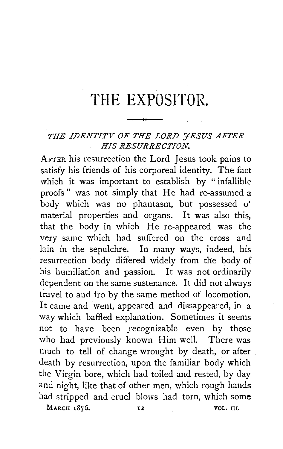## **THE EXPOSITOR.**

## *THE IDENTITY OF THE LORD 'JESUS AFTER HIS RESURRECTION.*

AFTER his resurrection the Lord Jesus took pains to satisfy his friends of his corporeal identity. The fact which it was important to establish by "infallible proofs" was not simply that He had re-assumed a body which was no phantasm, but possessed o' material properties and organs. It was also this, that the body in which He re-appeared was the very same which had suffered on the cross and lain in the sepulchre. In many ways, indeed, his resurrection body differed widely from the body of his humiliation and passion. It was not ordinarily dependent on the same sustenance. It did not always travel to and fro by the same method of locomotion. It came and went, appeared and dissappeared, in a way which baffled explanation. Sometimes it seems not to have been recognizable even by those who had previously known Him well. There was much to tell of change wrought by death, or after death by resurrection, upon the familiar body which the Virgin bore, which had toiled and rested, by day and night, like that of other men, which rough hands had stripped and cruel blows had torn, which some

MARCH 1876. **12 VOL.** III.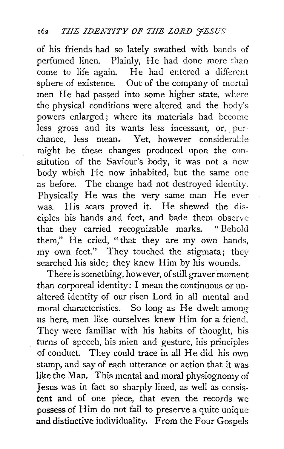of his friends had so lately swathed with bands of perfumed linen. Plainly, He had done more than come to life again. He had entered a different sphere of existence. Out of the company of mortal men He had passed into some higher state, where the physical conditions were altered and the body's powers enlarged ; where its materials had become less gross and its wants less incessant, or, perchance, less mean. Yet, however considerable might be these changes produced upon the constitution of the Saviour's body, it was not a new body which He now inhabited, but the same one as before. The change had not destroyed identity. Physically He was the very same man He ever was. His scars proved it. He shewed the disciples his hands and feet, and bade them observe that they carried recognizable marks. " Behold them," He cried, "that they are my own hands, my own feet." They touched the stigmata; they searched his side; they knew Him by his wounds.

There is something, however, of still graver moment than corporeal identity: I mean the continuous or unaltered identity of our risen Lord in all mental and moral characteristics. So long as He dwelt among us here, men like ourselves knew Him for a friend. They were familiar with his habits of thought, his turns of speech, his mien and gesture, his principles of conduct. They could trace in all He did his own stamp, and say of each utterance or action that it was like the Man. This mental and moral physiognomy of Jesus was in fact so sharply lined, as well as consistent and of one piece, that even the records we possess of Him do not fail to preserve a quite unique and distinctive individuality. From the Four Gospels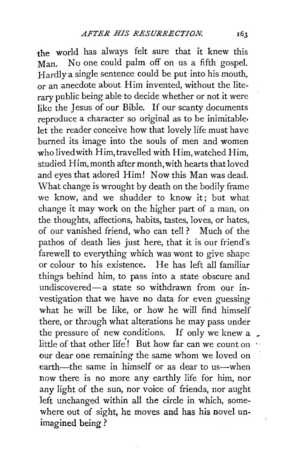the world has always felt sure that it knew this Man. No one could palm off on us a fifth gospel. Hardly a single sentence could be put into his mouth, or an anecdote about Him invented, without the literary public being able to decide whether or not it were like the Jesus of our Bible. If our scanty documents reproduce a character so original as to be inimitable, let the reader conceive how that lovely life must have burned its image into the souls of men and women who lived with Him, travelled with Him, watched Him, studied Him, month after month, with hearts that loved and eyes that adored Him! Now this Man was dead. What change is wrought by death on the bodily frame we know, and we shudder to know it; but what change it may work on the higher part of a man, on the thoughts, affections, habits, tastes, loves, or hates, of our vanished friend, who can tell? Much of the pathos of death lies just here, that it is our friend's farewell to everything which was wont to give shape or colour to his existence. He has left all familiar things behind him, to pass into a state obscure and undiscovered-a state so withdrawn from our investigation that we have no data for even guessing what he will be like, or how he will find himself there, or through what alterations he may pass under the pressure of new conditions. If only we knew a little of that other life! But how far can we count on our dear one remaining the same whom we loved on earth—the same in himself or as dear to us—when now there is no more any earthly life for him, nor any light of the sun, nor voice of friends, nor aught left unchanged within all the circle in which, somewhere out of sight, he moves and has his novel unimagined being?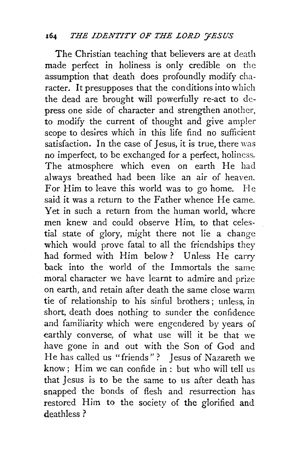## 164 *THE IDENTITY OF THE LORD 'JESUS*

The Christian teaching that believers are at death made perfect in holiness is only credible on the assumption that death does profoundly modify character. It presupposes that the conditions into which the dead are brought will powerfully re-act to depress one side of character and strengthen another, to modify the current of thought and give ampler scope to desires which in this life find no sufficient satisfaction. In the case of Jesus, it is true, there was no imperfect, to be exchanged for a perfect, holiness. The atmosphere which even on earth He had always breathed had been like an air of heaven. For Him to leave this world was to go home. He said it was a return to the Father whence He came. Yet in such a return from the human world, where men knew and could observe Him, to that celestial state of glory, might there not lie a change which would prove fatal to all the friendships they had formed with Him below ? Unless He carry back into the world of the Immortals the same moral character we have learnt to admire and prize on earth, and retain after death the same close warm tie of relationship to his sinful brothers ; unless, in short, death does nothing to sunder the confidence and familiarity which were engendered by years of earthly converse, of what use will it be that we have gone in and out with the Son of God and He has called us "friends" ? Jesus of Nazareth we know; Him we can confide in: but who will tell us that Jesus is to be the same to us after death has snapped the bonds of flesh and resurrection has restored Him to the society of the glorified and deathless?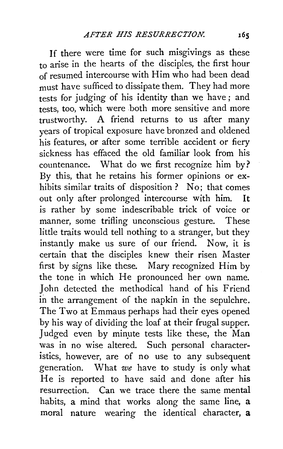If there were time for such misgivings as these to arise in the hearts of the disciples, the first hour of resumed intercourse with Him who had been dead must have sufficed to dissipate them. They had more tests for judging of his identity than we have; and tests, too, which were both more sensitive and more trustworthy. A friend returns to us after many years of tropical exposure have bronzed and oldened his features, or after some terrible accident or fiery sickness has effaced the old familiar look from his countenance. What do we first recognize him by? By this, that he retains his former opinions or exhibits similar traits of disposition ? No; that comes out only after prolonged intercourse with him. It is rather by some indescribable trick of voice or manner, some trifling unconscious gesture. These little traits would tell nothing to a stranger, but they instantly make us sure of our friend. Now, it is certain that the disciples knew their risen Master first by signs like these. Mary recognized Him by the tone in which He pronounced her own name. John detected the methodical hand of his Friend in the arrangement of the napkin in the sepulchre. The Two at Emmaus perhaps had their eyes opened by his way of dividing the loaf at their frugal supper. Judged even by minute tests like these, the Man was in no wise altered. Such personal characteristics, however, are of no use to any subsequent generation. What *we* have to study is only what He is reported to have said and done after his resurrection. Can we trace there the same mental habits, a mind that works along the same line, a moral nature wearing the identical character, a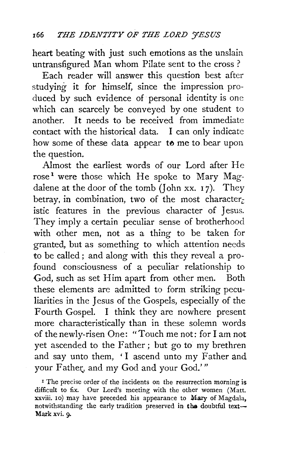heart beating with just such emotions as the unslain untransfigured Man whom Pilate sent to the cross ?

Each reader will answer this question best after studying it for himself, since the impression produced by such evidence of personal identity is one which can scarcely be conveyed by one student to another. It needs to be received from immediate contact with the historical data. I can only indicate how some of these data appear to me to bear upon the question.

Almost the earliest words of our Lord after He rose<sup>1</sup> were those which He spoke to Mary Magdalene at the door of the tomb (John xx.  $17$ ). They betray, in combination, two of the most character. istic features in the previous character of Jesus. They imply a certain peculiar sense of brotherhood with other men, not as a thing to be taken for granted, but as something to which attention needs to be called ; and along with this they reveal a profound consciousness of a peculiar relationship to God, such as set Him apart from other men. Both these elements are admitted to form striking peculiarities in the Jesus of the Gospels, especially of the Fourth Gospel. I think they are nowhere present more characteristically than in these solemn words of the newly-risen One: "Touch me not: for I am not yet ascended to the Father; but go to my brethren and say unto them, 'I ascend unto my Father and your Father, and my God and your God.'"

<sup>1</sup> The precise order of the incidents on the resurrection morning is difficult to fix. Our Lord's meeting with the other women (Matt. xxviii. to) may have preceded his appearance to Mary of Magdala, notwithstanding the early tradition preserved in the doubtful text-Mark xvi. 9.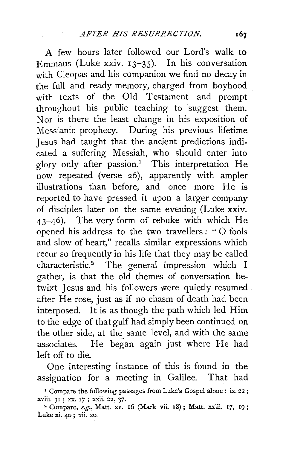A few hours later followed our Lord's walk **to**  Emmaus (Luke xxiv. 13-35). In his conversation with Cleopas and his companion we find no decay in the full and ready memory, charged from boyhood with texts of the Old Testament and prompt throughout his public teaching to suggest them. Nor is there the least change in his exposition of Messianic prophecy. During his previous lifetime Jesus had taught that the ancient predictions indicated a suffering Messiah, who should enter into glory only after passion.<sup>1</sup> This interpretation He now repeated (verse 26), apparently with ampler illustrations than before, and once more He is reported to have pressed it upon a larger company of disciples later on the same evening (Luke xxiv. 43-46). The very form of rebuke with which He opened his address to the two travellers : " 0 fools and slow of heart," recalls similar expressions which recur so frequently in his life that they may be called characteristic.<sup>2</sup> The general impression which I gather, is that the old themes of conversation betwixt Jesus and his followers were quietly resumed after He rose, just as if no chasm of death had been interposed. It is as though the path which led Him to the edge of that gulf had simply been continued on the other side, at the same level, and with the same associates. He began again just where He had left off to die.

One interesting instance of this is found in the assignation for a meeting in Galilee. That had

<sup>&</sup>lt;sup>1</sup> Compare the following passages from Luke's Gospel alone : ix. 22; xviii. 31; xx. 17; xxii. 22, 37.

<sup>&</sup>lt;sup>2</sup> Compare, *e.g.*, Matt. xv. 16 (Mark vii. 18); Matt. xxiii. 17, 19; Luke xi. 40 ; xii. 20.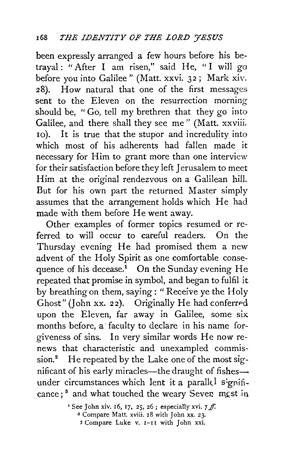been expressly arranged a few hours before his betrayal : "After I am risen," said He, " I will go before you into Galilee" (Matt. xxvi. 32; Mark xiv. 28). How natural that one of the first messages sent to the Eleven on the resurrection morning should be, " Go, tell my brethren that they go into Galilee, and there shall they see me" (Matt. xxviii. 10). It is true that the stupor and incredulity into which most of his adherents had fallen made it necessary for Him to grant more than one interview for their satisfaction before they left Jerusalem to meet Him at the original rendezvous on a Galilean hill. But for his own part the returned Master simply assumes that the arrangement holds which He had made with them before He went away.

Other examples of former topics resumed or referred to will occur to careful readers. On the Thursday evening He had promised them a new advent of the Holy Spirit as one comfortable consequence of his decease.<sup>1</sup> On the Sunday evening He repeated that promise in symbol, and began to fulfil it by breathing on them, saying: "Receive ye the Holy Ghost" (John xx. 22). Originally He had conferred upon the Eleven, far away in Galilee, some *six*  months before, a faculty to declare in his name forgiveness of sins. In very similar words He now renews that characteristic and unexampled commission.<sup>2</sup> He repeated by the Lake one of the most significant of his early miracles-the draught of fishesunder circumstances which lent it a parallel significance;<sup>3</sup> and what touched the weary Seven mest in

> ' See John xiv. 16, 17, 25, 26; especially xvi. 7  $f$ . 2 Compare Matt. xviii. I8 with John xx. 23.

*<sup>3</sup>* Compare Luke v. I-I I with John xxi.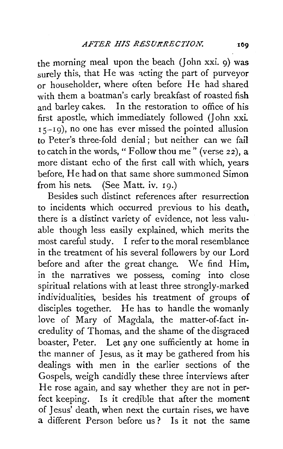the morning meal upon the beach (John xxi. 9) was surely this, that He was acting the part of purveyor or householder, where often before He had shared with them a boatman's early breakfast of roasted fish and barley cakes. In the restoration to office of his first apostle, which immediately followed (John xxi. 15-19), no one has ever missed the pointed allusion to Peter's three-fold denial; but neither can we fail to catch in the words, " Follow thou me" (verse 22), a more distant echo of the first call with which, years before, He had on that same shore summoned Simon from his nets. (See Matt. iv. 19.)

Besides such distinct references after resurrection to incidents which occurred previous to his death, there is a distinct variety of evidence, not less valuable though less easily explained, which merits the most careful study. I refer to the moral resemblance in the treatment of his several followers by our Lord before and after the great change. We find Him, in the narratives we possess, coming into close spiritual relations with at least three strongly-marked individualities, besides his treatment of groups of disciples together. He has to handle the womanly love of Mary of Magdala, the matter-of-fact incredulity of Thomas, and the shame of the disgraced boaster, Peter. Let any one sufficiently at home in the manner of Jesus, as it may be gathered from his dealings with men in the earlier sections of the Gospels, weigh candidly these three interviews after He rose again, and say whether they are not in perfect keeping. Is it credible that after the moment of *]* esus' death, when next the curtain rises, we have a different Person before us ? Is it not the same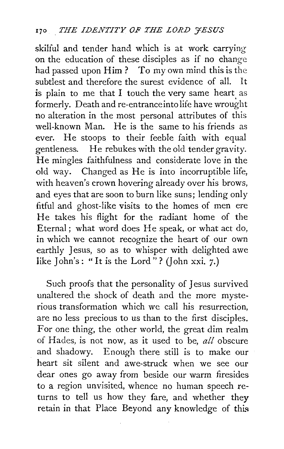skilful and tender hand which is at work carrying on the education of these disciples as if no change had passed upon Him? To my own mind this is the subtlest and therefore the surest evidence of all. It is plain to me that I touch the very same heart as formerly. Death and re-entranceintolife have wrought no alteration in the most personal attributes of this well-known Man. He is the same to his friends as ever. He stoops to their feeble faith with equal gentleness. He rebukes with the old tender gravity. He mingles faithfulness and considerate love in the old way. Changed as He is into incorruptible life, with heaven's crown hovering already over his brows, and eyes that are soon to burn like suns; lending only fitful and ghost-like visits to the homes of men ere He takes his flight for the radiant home of the Eternal; what word does He speak, or what act do, in which we cannot recognize the heart of our own earthly Jesus, so as to whisper with delighted awe like John's: "It is the Lord"? (John xxi. 7.)

Such proofs that the personality of Jesus survived unaltered the shock of death and the more mysterious transformation which we call his resurrection, are no less precious to us than to the first disciples. For one thing, the other world, the great dim realm of Hades, is not now, as it used to be, *all* obscure and shadowy. Enough there still is to make our heart sit silent and awe-struck when we see our dear ones go away from beside our warm firesides to a region unvisited, whence no human speech returns to tell us how they fare, and whether they retain in that Place Beyond any knowledge of this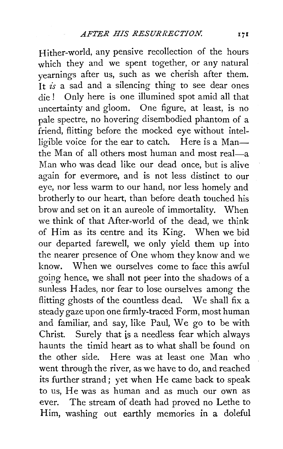Hither-world, any pensive recollection of the hours which they and we spent together, or any natural yearnings after us, such as we cherish after them. It *is* a sad and a silencing thing to see dear ones die ! Only here is one illumined spot amid all that uncertainty and gloom. One figure, at least, is no pale spectre, no hovering disembodied phantom of a friend, flitting before the mocked eye without intelligible voice for the ear to catch. Here is a Manthe Man of all others most human and most real—a Man who was dead like our dead once, but is alive again for evermore, and is not less distinct to our eye, nor less warm to our hand, nor less homely and brotherly to our heart, than before death touched his brow and set on it an aureole of immortality. When we think of that After-world of the dead, we think of Him as its centre and its King. When we bid our departed farewell, we only yield them up into the nearer presence of One whom they know and we know. When we ourselves come to face this awful goipg hence, we shall not peer into the shadows of a sunless Hades, nor fear to lose ourselves among the flitting ghosts of the countless dead. We shall fix a steady gaze upon one firmly-traced Form, most human and familiar, and say, like Paul, We go to be with Christ. Surely that is a needless fear which always haunts the timid heart as to what shall be found on the other side. Here was at least one Man who went through the river, as we have to do, and reached its further strand; yet when He came back to speak to us, He was as human and as much our own as ever. The stream of death had proved no Lethe to Him, washing out earthly memories in a doleful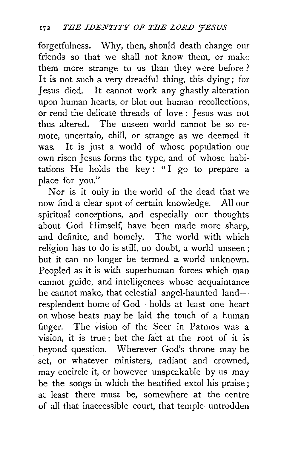forgetfulness. Why, then, should death change our friends so that we shall not know them, or make them more strange to us than they were before ? It is not such a very dreadful thing, this dying; for Jesus died. It cannot work any ghastly alteration upon human hearts, or blot out human recollections, or rend the delicate threads of love : Jesus was not thus altered. The unseen world cannot be so remote, uncertain, chill, or strange as we deemed it was. It is just a world of whose population our own risen Jesus forms the type, and of whose habitations He holds the key: "I go to prepare a place for you."

Nor is it only in the world of the dead that we now find a clear spot of certain knowledge. All our spiritual conceptions, and especially our thoughts about God Himself, have been made more sharp, and definite, and homely. The world with which religion has to do is still, no doubt, a world unseen ; but it can no longer be termed a world unknown. Peopled as it is with superhuman forces which man cannot guide, and intelligences whose acquaintance he cannot make, that celestial angel-haunted landresplendent home of God-holds at least one heart on whose beats may be laid the touch of a human finger. The vision of the Seer in Patmos was a vision, it is true ; but the fact at the root of it is beyond question. Wherever God's throne may be set, or whatever ministers, radiant and crowned, may encircle it, or however unspeakable by us may be the songs in which the beatified extol his praise; at least there must be, somewhere at the centre of all that inaccessible court, that temple untrodden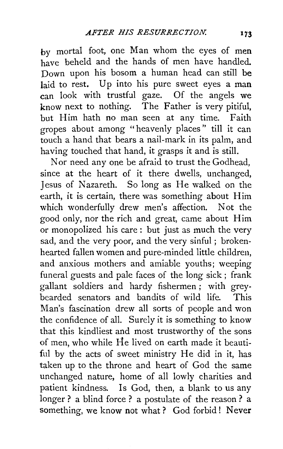by mortal foot, one Man whom the eyes of men have beheld and the hands of men have handled. Down upon his bosom a human head can still be laid to rest. Up into his pure sweet eyes a man can look with trustful gaze. Of the angels we know next to nothing. The Father is very pitiful, but Him hath no man seen at any time. Faith gropes about among "heavenly places" till it can touch a hand that bears a nail-mark in its palm, and having touched that hand, it grasps it and is still.

Nor need any one be afraid to trust the Godhead, since at the heart of it there dwells, unchanged, Jesus of Nazareth. So long as He walked on the earth, it is certain, there was something about Him which wonderfully drew men's affection. Not the good only, nor the rich and great, came about Him or monopolized his care : but just as much the very sad, and the very poor, and the very sinful ; brokenhearted fallen women and pure-minded little children, and anxious mothers and amiable youths; weeping funeral guests and pale faces of the long sick ; frank gallant soldiers and hardy fishermen ; with greybearded senators and bandits of wild life. This Man's fascination drew all sorts of people and won the confidence of all. Surely it is something to know that this kindliest and most trustworthy of the sons of men, who while He lived on earth made it beautiful by the acts of sweet ministry He did in it, has taken up to the throne and heart of God the same unchanged nature, home of all lowly charities and patient kindness. Is God, then, a blank to us any longer ? a blind force ? a postulate of the reason ? a something, we know not what? God forbid! Never